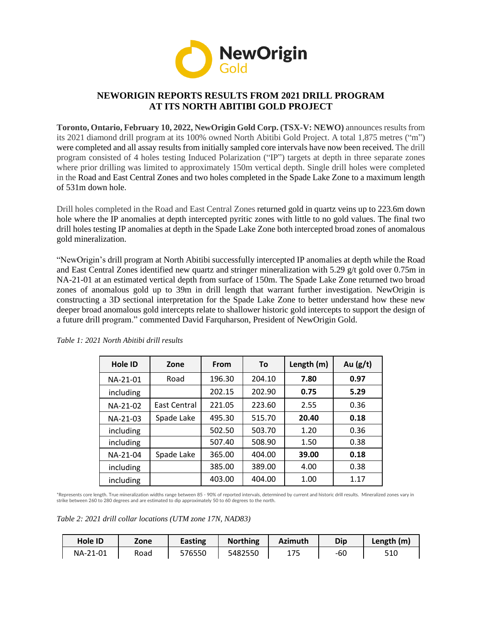

# **NEWORIGIN REPORTS RESULTS FROM 2021 DRILL PROGRAM AT ITS NORTH ABITIBI GOLD PROJECT**

**Toronto, Ontario, February 10, 2022, NewOrigin Gold Corp. (TSX-V: NEWO)** announces results from its 2021 diamond drill program at its 100% owned North Abitibi Gold Project. A total 1,875 metres ("m") were completed and all assay results from initially sampled core intervals have now been received. The drill program consisted of 4 holes testing Induced Polarization ("IP") targets at depth in three separate zones where prior drilling was limited to approximately 150m vertical depth. Single drill holes were completed in the Road and East Central Zones and two holes completed in the Spade Lake Zone to a maximum length of 531m down hole.

Drill holes completed in the Road and East Central Zones returned gold in quartz veins up to 223.6m down hole where the IP anomalies at depth intercepted pyritic zones with little to no gold values. The final two drill holes testing IP anomalies at depth in the Spade Lake Zone both intercepted broad zones of anomalous gold mineralization.

"NewOrigin's drill program at North Abitibi successfully intercepted IP anomalies at depth while the Road and East Central Zones identified new quartz and stringer mineralization with 5.29  $g/t$  gold over 0.75m in NA-21-01 at an estimated vertical depth from surface of 150m. The Spade Lake Zone returned two broad zones of anomalous gold up to 39m in drill length that warrant further investigation. NewOrigin is constructing a 3D sectional interpretation for the Spade Lake Zone to better understand how these new deeper broad anomalous gold intercepts relate to shallower historic gold intercepts to support the design of a future drill program." commented David Farquharson, President of NewOrigin Gold.

| Hole ID   | Zone                | From   | To     | Length (m) | Au $(g/t)$ |
|-----------|---------------------|--------|--------|------------|------------|
| NA-21-01  | Road                | 196.30 | 204.10 | 7.80       | 0.97       |
| including |                     | 202.15 | 202.90 | 0.75       | 5.29       |
| NA-21-02  | <b>East Central</b> | 221.05 | 223.60 | 2.55       | 0.36       |
| NA-21-03  | Spade Lake          | 495.30 | 515.70 | 20.40      | 0.18       |
| including |                     | 502.50 | 503.70 | 1.20       | 0.36       |
| including |                     | 507.40 | 508.90 | 1.50       | 0.38       |
| NA-21-04  | Spade Lake          | 365.00 | 404.00 | 39.00      | 0.18       |
| including |                     | 385.00 | 389.00 | 4.00       | 0.38       |
| including |                     | 403.00 | 404.00 | 1.00       | 1.17       |

| Table 1: 2021 North Abitibi drill results |  |  |  |
|-------------------------------------------|--|--|--|
|                                           |  |  |  |

\*Represents core length. True mineralization widths range between 85 - 90% of reported intervals, determined by current and historic drill results. Mineralized zones vary in strike between 260 to 280 degrees and are estimated to dip approximately 50 to 60 degrees to the north.

*Table 2: 2021 drill collar locations (UTM zone 17N, NAD83)*

| Hole ID  | Zone | <b>Easting</b> | <b>Northing</b> | <b>Azimuth</b> | Dip | Length (m) |
|----------|------|----------------|-----------------|----------------|-----|------------|
| NA-21-01 | Road | 576550         | 5482550         | <b>17F</b>     | -60 | 510        |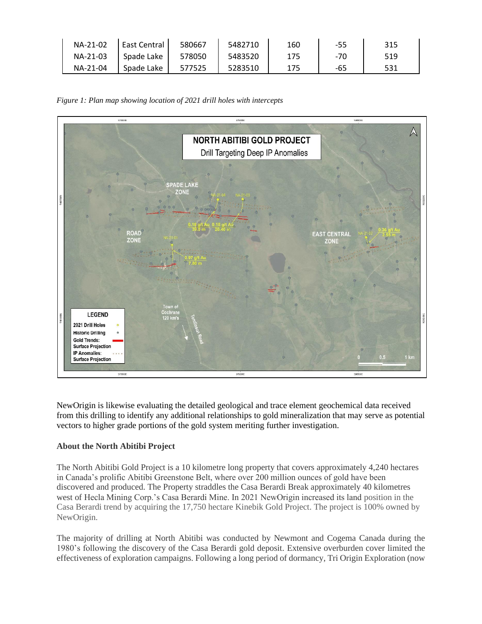| NA-21-02 | East Central | 580667 | 5482710 | 160 | $-55$ | 315 |
|----------|--------------|--------|---------|-----|-------|-----|
| NA-21-03 | Spade Lake   | 578050 | 5483520 | 175 | -70   | 519 |
| NA-21-04 | Spade Lake   | 577525 | 5283510 | 175 | -65   | 531 |

*Figure 1: Plan map showing location of 2021 drill holes with intercepts* 



NewOrigin is likewise evaluating the detailed geological and trace element geochemical data received from this drilling to identify any additional relationships to gold mineralization that may serve as potential vectors to higher grade portions of the gold system meriting further investigation.

## **About the North Abitibi Project**

The North Abitibi Gold Project is a 10 kilometre long property that covers approximately 4,240 hectares in Canada's prolific Abitibi Greenstone Belt, where over 200 million ounces of gold have been discovered and produced. The Property straddles the Casa Berardi Break approximately 40 kilometres west of Hecla Mining Corp.'s Casa Berardi Mine. In 2021 NewOrigin increased its land position in the Casa Berardi trend by acquiring the 17,750 hectare Kinebik Gold Project. The project is 100% owned by NewOrigin.

The majority of drilling at North Abitibi was conducted by Newmont and Cogema Canada during the 1980's following the discovery of the Casa Berardi gold deposit. Extensive overburden cover limited the effectiveness of exploration campaigns. Following a long period of dormancy, Tri Origin Exploration (now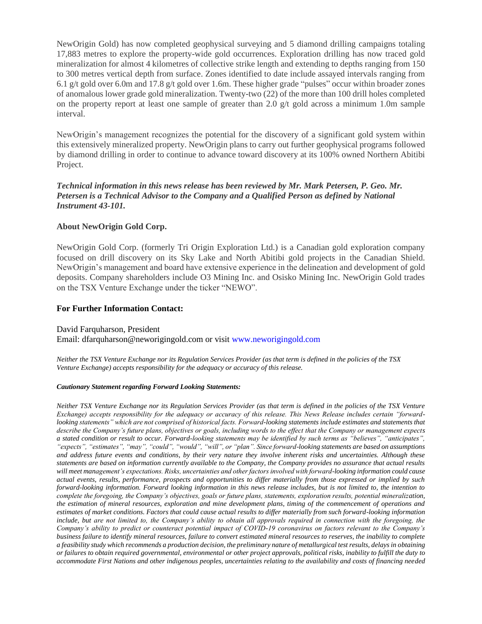NewOrigin Gold) has now completed geophysical surveying and 5 diamond drilling campaigns totaling 17,883 metres to explore the property-wide gold occurrences. Exploration drilling has now traced gold mineralization for almost 4 kilometres of collective strike length and extending to depths ranging from 150 to 300 metres vertical depth from surface. Zones identified to date include assayed intervals ranging from 6.1 g/t gold over 6.0m and 17.8 g/t gold over 1.6m. These higher grade "pulses" occur within broader zones of anomalous lower grade gold mineralization. Twenty-two (22) of the more than 100 drill holes completed on the property report at least one sample of greater than 2.0 g/t gold across a minimum 1.0m sample interval.

NewOrigin's management recognizes the potential for the discovery of a significant gold system within this extensively mineralized property. NewOrigin plans to carry out further geophysical programs followed by diamond drilling in order to continue to advance toward discovery at its 100% owned Northern Abitibi Project.

### *Technical information in this news release has been reviewed by Mr. Mark Petersen, P. Geo. Mr. Petersen is a Technical Advisor to the Company and a Qualified Person as defined by National Instrument 43-101.*

#### **About NewOrigin Gold Corp.**

NewOrigin Gold Corp. (formerly Tri Origin Exploration Ltd.) is a Canadian gold exploration company focused on drill discovery on its Sky Lake and North Abitibi gold projects in the Canadian Shield. NewOrigin's management and board have extensive experience in the delineation and development of gold deposits. Company shareholders include O3 Mining Inc. and Osisko Mining Inc. NewOrigin Gold trades on the TSX Venture Exchange under the ticker "NEWO".

#### **For Further Information Contact:**

David Farquharson, President

Email: dfarquharson@neworigingold.com or visit www.neworigingold.com

*Neither the TSX Venture Exchange nor its Regulation Services Provider (as that term is defined in the policies of the TSX Venture Exchange) accepts responsibility for the adequacy or accuracy of this release.* 

#### *Cautionary Statement regarding Forward Looking Statements:*

*Neither TSX Venture Exchange nor its Regulation Services Provider (as that term is defined in the policies of the TSX Venture Exchange) accepts responsibility for the adequacy or accuracy of this release. This News Release includes certain "forwardlooking statements" which are not comprised of historical facts. Forward-looking statements include estimates and statements that describe the Company's future plans, objectives or goals, including words to the effect that the Company or management expects a stated condition or result to occur. Forward-looking statements may be identified by such terms as "believes", "anticipates", "expects", "estimates", "may", "could", "would", "will", or "plan". Since forward-looking statements are based on assumptions and address future events and conditions, by their very nature they involve inherent risks and uncertainties. Although these statements are based on information currently available to the Company, the Company provides no assurance that actual results will meet management's expectations. Risks, uncertainties and other factors involved with forward-looking information could cause actual events, results, performance, prospects and opportunities to differ materially from those expressed or implied by such forward-looking information. Forward looking information in this news release includes, but is not limited to, the intention to complete the foregoing, the Company's objectives, goals or future plans, statements, exploration results, potential mineralization, the estimation of mineral resources, exploration and mine development plans, timing of the commencement of operations and estimates of market conditions. Factors that could cause actual results to differ materially from such forward-looking information include, but are not limited to, the Company's ability to obtain all approvals required in connection with the foregoing, the Company's ability to predict or counteract potential impact of COVID-19 coronavirus on factors relevant to the Company's business failure to identify mineral resources, failure to convert estimated mineral resources to reserves, the inability to complete a feasibility study which recommends a production decision, the preliminary nature of metallurgical test results, delays in obtaining or failures to obtain required governmental, environmental or other project approvals, political risks, inability to fulfill the duty to accommodate First Nations and other indigenous peoples, uncertainties relating to the availability and costs of financing needed*